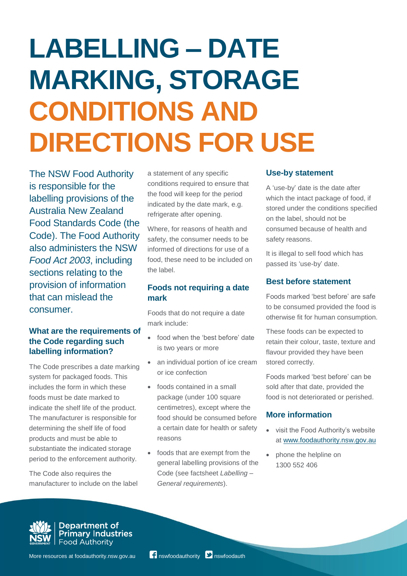# **LABELLING – DATE MARKING, STORAGE CONDITIONS AND DIRECTIONS FOR USE**

The NSW Food Authority is responsible for the labelling provisions of the Australia New Zealand Food Standards Code (the Code). The Food Authority also administers the NSW *Food Act 2003*, including sections relating to the provision of information that can mislead the consumer.

## **What are the requirements of the Code regarding such labelling information?**

The Code prescribes a date marking system for packaged foods. This includes the form in which these foods must be date marked to indicate the shelf life of the product. The manufacturer is responsible for determining the shelf life of food products and must be able to substantiate the indicated storage period to the enforcement authority.

The Code also requires the manufacturer to include on the label

a statement of any specific conditions required to ensure that the food will keep for the period indicated by the date mark, e.g. refrigerate after opening.

Where, for reasons of health and safety, the consumer needs to be informed of directions for use of a food, these need to be included on the label.

## **Foods not requiring a date mark**

Foods that do not require a date mark include:

- food when the 'best before' date is two years or more
- an individual portion of ice cream or ice confection
- foods contained in a small package (under 100 square centimetres), except where the food should be consumed before a certain date for health or safety reasons
- foods that are exempt from the general labelling provisions of the Code (see factsheet *Labelling – General requirements*).

#### **Use-by statement**

A 'use-by' date is the date after which the intact package of food, if stored under the conditions specified on the label, should not be consumed because of health and safety reasons.

It is illegal to sell food which has passed its 'use-by' date.

## **Best before statement**

Foods marked 'best before' are safe to be consumed provided the food is otherwise fit for human consumption.

These foods can be expected to retain their colour, taste, texture and flavour provided they have been stored correctly.

Foods marked 'best before' can be sold after that date, provided the food is not deteriorated or perished.

### **More information**

- visit the Food Authority's website at [www.foodauthority.nsw.gov.au](http://www.foodauthority.nsw.gov.au/)
- phone the helpline on 1300 552 406



Department of<br>Primary Industries **Food Authority**